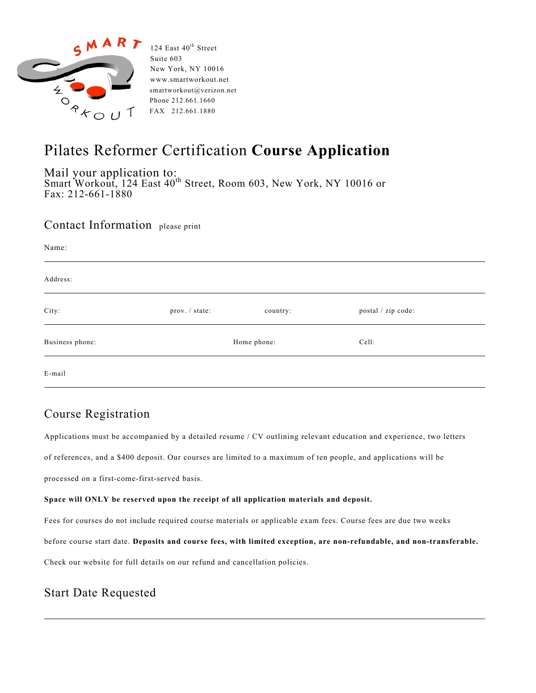

124 East 40<sup>th</sup> Street Suite 603 New York, NY 10016 www.smartworkout.net Phone 212.661.1660 FAX 212.661.1880

# Pilates Reformer Certification **Course Application**

Mail your application to: Smart Workout, 124 East 40<sup>th</sup> Street, Room 603, New York, NY 10016 or Fax: 212-661-1880

#### Contact Information please print

| Name:           |                |          |                    |
|-----------------|----------------|----------|--------------------|
| Address:        |                |          |                    |
| City:           | prov. / state: | country: | postal / zip code: |
| Business phone: | Home phone:    |          | Cell:              |
| E-mail          |                |          |                    |

### Course Registration

Applications must be accompanied by a detailed resume / CV outlining relevant education and experience, two letters of references, and a \$400 deposit. Our courses are limited to a maximum of ten people, and applications will be

processed on a first-come-first-served basis.

#### **Space will ONLY be reserved upon the receipt of all application materials and deposit.**

Fees for courses do not include required course materials or applicable exam fees. Course fees are due two weeks

before course start date. **Deposits and course fees, with limited exception, are non-refundable, and non-transferable.**

Check our website for full details on our refund and cancellation policies.

# Start Date Requested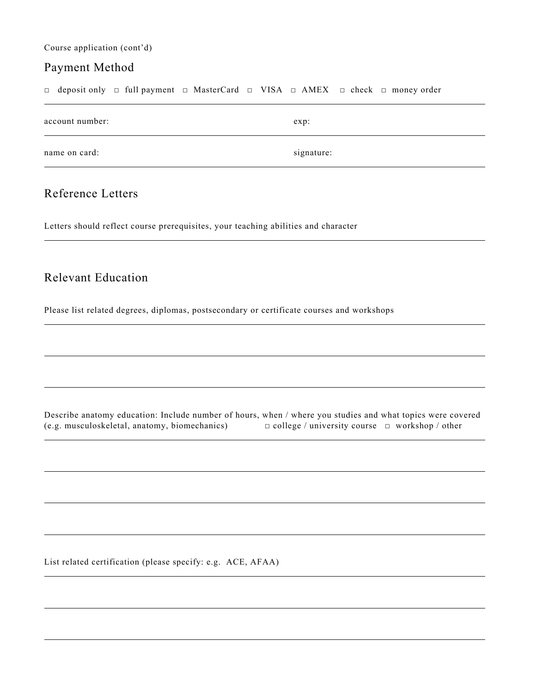Course application (cont'd)

#### Payment Method

□ deposit only □ full payment □ MasterCard □ VISA □ AMEX □ check □ money order

| account number: | exp:       |
|-----------------|------------|
| name on card:   | signature: |

## Reference Letters

Letters should reflect course prerequisites, your teaching abilities and character

#### Relevant Education

Please list related degrees, diplomas, postsecondary or certificate courses and workshops

Describe anatomy education: Include number of hours, when / where you studies and what topics were covered (e.g. musculoskeletal, anatomy, biomechanics) □ college / university course □ workshop / other

List related certification (please specify: e.g. ACE, AFAA)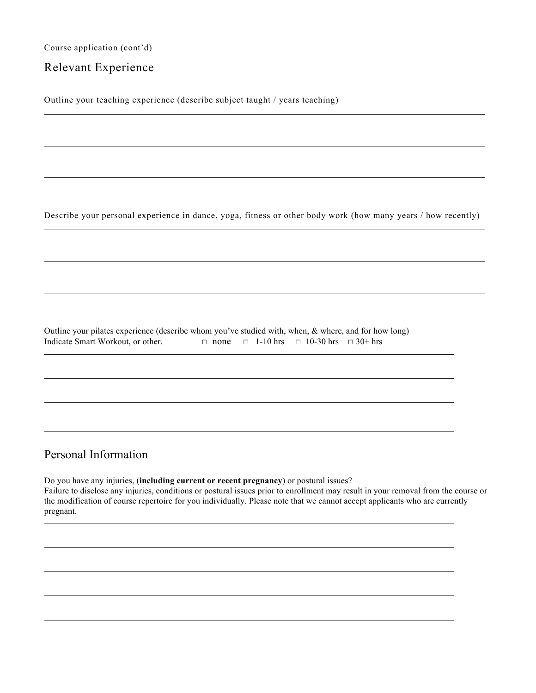Course application (cont'd)

### Relevant Experience

Outline your teaching experience (describe subject taught / years teaching)

Describe your personal experience in dance, yoga, fitness or other body work (how many years / how recently)

Outline your pilates experience (describe whom you've studied with, when, & where, and for how long) Indicate Smart Workout, or other.  $\Box$  none  $\Box$  1-10 hrs  $\Box$  10-30 hrs  $\Box$  30+ hrs

### Personal Information

Do you have any injuries, (**including current or recent pregnancy**) or postural issues? Failure to disclose any injuries, conditions or postural issues prior to enrollment may result in your removal from the course or the modification of course repertoire for you individually. Please note that we cannot accept applicants who are currently pregnant.